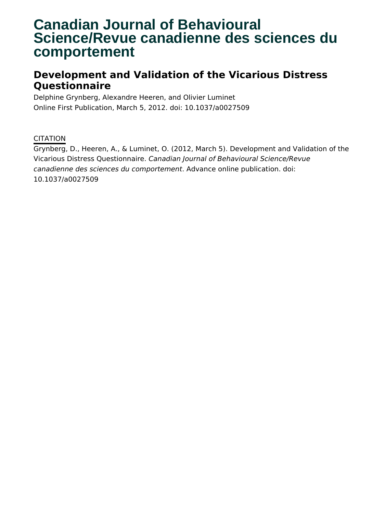# **Canadian Journal of Behavioural Science/Revue canadienne des sciences du comportement**

## **Development and Validation of the Vicarious Distress Questionnaire**

Delphine Grynberg, Alexandre Heeren, and Olivier Luminet Online First Publication, March 5, 2012. doi: 10.1037/a0027509

### **CITATION**

Grynberg, D., Heeren, A., & Luminet, O. (2012, March 5). Development and Validation of the Vicarious Distress Questionnaire. Canadian Journal of Behavioural Science/Revue canadienne des sciences du comportement. Advance online publication. doi: 10.1037/a0027509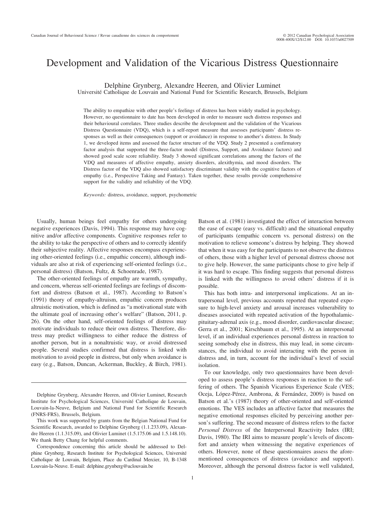## Development and Validation of the Vicarious Distress Questionnaire

Delphine Grynberg, Alexandre Heeren, and Olivier Luminet

Université Catholique de Louvain and National Fund for Scientific Research, Brussels, Belgium

The ability to empathize with other people's feelings of distress has been widely studied in psychology. However, no questionnaire to date has been developed in order to measure such distress responses and their behavioural correlates. Three studies describe the development and the validation of the Vicarious Distress Questionnaire (VDQ), which is a self-report measure that assesses participants' distress responses as well as their consequences (support or avoidance) in response to another's distress. In Study 1, we developed items and assessed the factor structure of the VDQ. Study 2 presented a confirmatory factor analysis that supported the three-factor model (Distress, Support, and Avoidance factors) and showed good scale score reliability. Study 3 showed significant correlations among the factors of the VDQ and measures of affective empathy, anxiety disorders, alexithymia, and mood disorders. The Distress factor of the VDQ also showed satisfactory discriminant validity with the cognitive factors of empathy (i.e., Perspective Taking and Fantasy). Taken together, these results provide comprehensive support for the validity and reliability of the VDQ.

*Keywords:* distress, avoidance, support, psychometric

Usually, human beings feel empathy for others undergoing negative experiences (Davis, 1994). This response may have cognitive and/or affective components. Cognitive responses refer to the ability to take the perspective of others and to correctly identify their subjective reality. Affective responses encompass experiencing other-oriented feelings (i.e., empathic concern), although individuals are also at risk of experiencing self-oriented feelings (i.e., personal distress) (Batson, Fultz, & Schoenrade, 1987).

The other-oriented feelings of empathy are warmth, sympathy, and concern, whereas self-oriented feelings are feelings of discomfort and distress (Batson et al., 1987). According to Batson's (1991) theory of empathy-altruism, empathic concern produces altruistic motivation, which is defined as "a motivational state with the ultimate goal of increasing other's welfare" (Batson, 2011, p. 26). On the other hand, self-oriented feelings of distress may motivate individuals to reduce their own distress. Therefore, distress may predict willingness to either reduce the distress of another person, but in a nonaltruistic way, or avoid distressed people. Several studies confirmed that distress is linked with motivation to avoid people in distress, but only when avoidance is easy (e.g., Batson, Duncan, Ackerman, Buckley, & Birch, 1981).

Batson et al. (1981) investigated the effect of interaction between the ease of escape (easy vs. difficult) and the situational empathy of participants (empathic concern vs. personal distress) on the motivation to relieve someone's distress by helping. They showed that when it was easy for the participants to not observe the distress of others, those with a higher level of personal distress choose not to give help. However, the same participants chose to give help if it was hard to escape. This finding suggests that personal distress is linked with the willingness to avoid others' distress if it is possible.

This has both intra- and interpersonal implications. At an intrapersonal level, previous accounts reported that repeated exposure to high-level anxiety and arousal increases vulnerability to diseases associated with repeated activation of the hypothalamicpituitary-adrenal axis (e.g., mood disorder, cardiovascular disease; Gerra et al., 2001; Kirschbaum et al., 1995). At an interpersonal level, if an individual experiences personal distress in reaction to seeing somebody else in distress, this may lead, in some circumstances, the individual to avoid interacting with the person in distress and, in turn, account for the individual's level of social isolation.

To our knowledge, only two questionnaires have been developed to assess people's distress responses in reaction to the suffering of others. The Spanish Vicarious Experience Scale (VES; Oceja, López-Pérez, Ambrona, & Fernández, 2009) is based on Batson et al.'s (1987) theory of other-oriented and self-oriented emotions. The VES includes an affective factor that measures the negative emotional responses elicited by perceiving another person's suffering. The second measure of distress refers to the factor *Personal Distress* of the Interpersonal Reactivity Index (IRI; Davis, 1980). The IRI aims to measure people's levels of discomfort and anxiety when witnessing the negative experiences of others. However, none of these questionnaires assess the aforementioned consequences of distress (avoidance and support). Moreover, although the personal distress factor is well validated,

Delphine Grynberg, Alexandre Heeren, and Olivier Luminet, Research Institute for Psychological Sciences, Université Catholique de Louvain, Louvain-la-Neuve, Belgium and National Fund for Scientific Research (FNRS-FRS), Brussels, Belgium.

This work was supported by grants from the Belgian National Fund for Scientific Research, awarded to Delphine Grynberg (1.1.233.09), Alexandre Heeren (1.1.315.09), and Olivier Luminet (1.5.175.06 and 1.5.148.10). We thank Betty Chang for helpful comments.

Correspondence concerning this article should be addressed to Delphine Grynberg, Research Institute for Psychological Sciences, Université Catholique de Louvain, Belgium, Place du Cardinal Mercier, 10, B-1348 Louvain-la-Neuve. E-mail: delphine.grynberg@uclouvain.be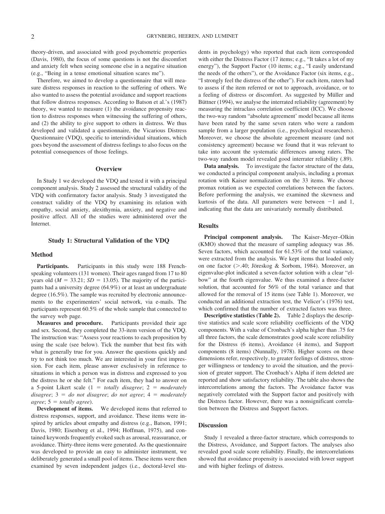theory-driven, and associated with good psychometric properties (Davis, 1980), the focus of some questions is not the discomfort and anxiety felt when seeing someone else in a negative situation (e.g., "Being in a tense emotional situation scares me").

Therefore, we aimed to develop a questionnaire that will measure distress responses in reaction to the suffering of others. We also wanted to assess the potential avoidance and support reactions that follow distress responses. According to Batson et al.'s (1987) theory, we wanted to measure (1) the avoidance propensity reaction to distress responses when witnessing the suffering of others, and (2) the ability to give support to others in distress. We thus developed and validated a questionnaire, the Vicarious Distress Questionnaire (VDQ), specific to interindividual situations, which goes beyond the assessment of distress feelings to also focus on the potential consequences of those feelings.

#### **Overview**

In Study 1 we developed the VDQ and tested it with a principal component analysis. Study 2 assessed the structural validity of the VDQ with confirmatory factor analysis. Study 3 investigated the construct validity of the VDQ by examining its relation with empathy, social anxiety, alexithymia, anxiety, and negative and positive affect. All of the studies were administered over the Internet.

#### **Study 1: Structural Validation of the VDQ**

#### **Method**

Participants. Participants in this study were 188 Frenchspeaking volunteers (131 women). Their ages ranged from 17 to 80 years old ( $M = 33.21$ ;  $SD = 13.05$ ). The majority of the participants had a university degree (64.9%) or at least an undergraduate degree (16.5%). The sample was recruited by electronic announcements to the experimenters' social network, via e-mails. The participants represent 60.5% of the whole sample that connected to the survey web page.

**Measures and procedure.** Participants provided their age and sex. Second, they completed the 33-item version of the VDQ. The instruction was: "Assess your reactions to each proposition by using the scale (see below). Tick the number that best fits with what is generally true for you. Answer the questions quickly and try to not think too much. We are interested in your first impression. For each item, please answer exclusively in reference to situations in which a person was in distress and expressed to you the distress he or she felt." For each item, they had to answer on a 5-point Likert scale (1 *totally disagree*; 2 *moderately*  $disagree; 3 = do not disagree; do not agree; 4 = moderately$  $agree; 5 = totally agree.$ 

**Development of items.** We developed items that referred to distress responses, support, and avoidance. These items were inspired by articles about empathy and distress (e.g., Batson, 1991; Davis, 1980; Eisenberg et al., 1994; Hoffman, 1975), and contained keywords frequently evoked such as arousal, reassurance, or avoidance. Thirty-three items were generated. As the questionnaire was developed to provide an easy to administer instrument, we deliberately generated a small pool of items. These items were then examined by seven independent judges (i.e., doctoral-level students in psychology) who reported that each item corresponded with either the Distress Factor (17 items; e.g., "It takes a lot of my energy"), the Support Factor (10 items; e.g., "I easily understand the needs of the others"), or the Avoidance Factor (six items, e.g., "I strongly feel the distress of the other"). For each item, raters had to assess if the item referred or not to approach, avoidance, or to a feeling of distress or discomfort. As suggested by Müller and Büttner (1994), we analyse the interrated reliability (agreement) by measuring the intraclass correlation coefficient (ICC). We choose the two-way random "absolute agreement' model because all items have been rated by the same seven raters who were a random sample from a larger population (i.e., psychological researchers). Moreover, we choose the absolute agreement measure (and not consistency agreement) because we found that it was relevant to take into account the systematic differences among raters. The two-way random model revealed good interrater reliability (.89).

**Data analysis.** To investigate the factor structure of the data, we conducted a principal component analysis, including a promax rotation with Kaiser normalization on the 33 items. We choose promax rotation as we expected correlations between the factors. Before performing the analysis, we examined the skewness and kurtosis of the data. All parameters were between  $-1$  and 1, indicating that the data are univariately normally distributed.

#### **Results**

**Principal component analysis.** The Kaiser–Meyer–Olkin (KMO) showed that the measure of sampling adequacy was .86. Seven factors, which accounted for 61.53% of the total variance, were extracted from the analysis. We kept items that loaded only on one factor ( $> 0.40$ ; Jöreskog & Sorbom, 1984). Moreover, an eigenvalue-plot indicated a seven-factor solution with a clear "elbow" at the fourth eigenvalue. We thus examined a three-factor solution, that accounted for 56% of the total variance and that allowed for the removal of 15 items (see Table 1). Moreover, we conducted an additional extraction test, the Velicer's (1976) test, which confirmed that the number of extracted factors was three.

**Descriptive statistics (Table 2).** Table 2 displays the descriptive statistics and scale score reliability coefficients of the VDQ components. With a value of Cronbach's alpha higher than .75 for all three factors, the scale demonstrates good scale score reliability for the Distress (6 items), Avoidance (4 items), and Support components (8 items) (Nunnally, 1978). Higher scores on these dimensions refer, respectively, to greater feelings of distress, stronger willingness or tendency to avoid the situation, and the provision of greater support. The Cronbach's Alpha if item deleted are reported and show satisfactory reliability. The table also shows the intercorrelations among the factors. The Avoidance factor was negatively correlated with the Support factor and positively with the Distress factor. However, there was a nonsignificant correlation between the Distress and Support factors.

#### **Discussion**

Study 1 revealed a three-factor structure, which corresponds to the Distress, Avoidance, and Support factors. The analyses also revealed good scale score reliability. Finally, the intercorrelations showed that avoidance propensity is associated with lower support and with higher feelings of distress.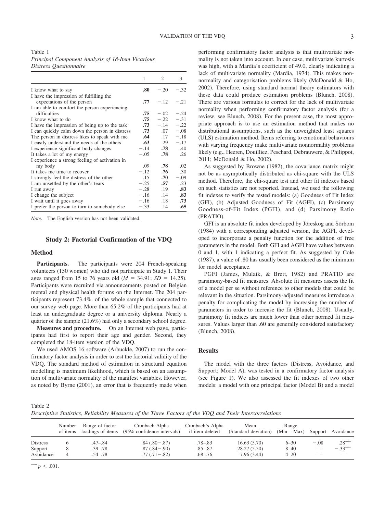Table 1 *Principal Component Analysis of 18-Item Vicarious Distress Questionnaire*

|                                                | 1      | 2       | 3      |
|------------------------------------------------|--------|---------|--------|
| I know what to say                             | .80    | $-.20$  | $-.32$ |
| I have the impression of fulfilling the        |        |         |        |
| expectations of the person                     | .77    | $-.12$  | $-.21$ |
| I am able to comfort the person experiencing   |        |         |        |
| difficulties                                   | .75    | $-.02$  | $-.24$ |
| I know what to do                              | .75    | $-.22$  | $-.31$ |
| I have the impression of being up to the task  | .73    | $-.14$  | $-.22$ |
| I can quickly calm down the person in distress | .73    | .07     | $-.08$ |
| The person in distress likes to speak with me  | .64    | .17     | $-.18$ |
| I easily understand the needs of the others    | $.63-$ | .29     | $-.17$ |
| I experience significant body changes          | $-.14$ | .78     | .40    |
| It takes a lot of my energy                    | $-.05$ | .78     | .26    |
| I experience a strong feeling of activation in |        |         |        |
| my body                                        | .09    | .78     | .02    |
| It takes me time to recover                    | $-.12$ | .76     | .30    |
| I strongly feel the distress of the other      | .15    | .70     | $-.09$ |
| I am unsettled by the other's tears            | $-.25$ | .57     | .23    |
| I run away                                     | $-.28$ | .19     | .83    |
| I change the subject                           | $-.16$ | $.14 -$ | .83    |
| I wait until it goes away                      | $-.16$ | .18     | .73    |
| I prefer the person to turn to somebody else   | $-.33$ | .14     | .65    |

*Note*. The English version has not been validated.

#### **Study 2: Factorial Confirmation of the VDQ**

#### **Method**

Participants. The participants were 204 French-speaking volunteers (150 women) who did not participate in Study 1. Their ages ranged from 15 to 76 years old  $(M = 34.91; SD = 14.25)$ . Participants were recruited via announcements posted on Belgian mental and physical health forums on the Internet. The 204 participants represent 73.4%. of the whole sample that connected to our survey web page. More than 65.2% of the participants had at least an undergraduate degree or a university diploma. Nearly a quarter of the sample (21.6%) had only a secondary school degree.

**Measures and procedure.** On an Internet web page, participants had first to report their age and gender. Second, they completed the 18-item version of the VDQ.

We used AMOS 16 software (Arbuckle, 2007) to run the confirmatory factor analysis in order to test the factorial validity of the VDQ. The standard method of estimation in structural equation modelling is maximum likelihood, which is based on an assumption of multivariate normality of the manifest variables. However, as noted by Byrne (2001), an error that is frequently made when

performing confirmatory factor analysis is that multivariate normality is not taken into account. In our case, multivariate kurtosis was high, with a Mardia's coefficient of 49.0, clearly indicating a lack of multivariate normality (Mardia, 1974). This makes nonnormality and categorisation problems likely (McDonald & Ho, 2002). Therefore, using standard normal theory estimators with these data could produce estimation problems (Blunch, 2008). There are various formulas to correct for the lack of multivariate normality when performing confirmatory factor analysis (for a review, see Blunch, 2008). For the present case, the most appropriate approach is to use an estimation method that makes no distributional assumptions, such as the unweighted least squares (ULS) estimation method. Items referring to emotional behaviours with varying frequency make multivariate nonnormality problems likely (e.g., Heeren, Douilliez, Peschard, Debrauwere, & Philippot, 2011; McDonald & Ho, 2002).

As suggested by Browne (1982), the covariance matrix might not be as asymptotically distributed as chi-square with the ULS method. Therefore, the chi-square test and other fit indexes based on such statistics are not reported. Instead, we used the following fit indexes to verify the tested models: (a) Goodness of Fit Index (GFI), (b) Adjusted Goodness of Fit (AGFI), (c) Parsimony Goodness-of-Fit Index (PGFI), and (d) Parsimony Ratio (PRATIO).

GFI is an absolute fit index developed by Jöreskog and Sörbom (1984) with a corresponding adjusted version, the AGFI, developed to incorporate a penalty function for the addition of free parameters in the model. Both GFI and AGFI have values between 0 and 1, with 1 indicating a perfect fit. As suggested by Cole (1987), a value of .80 has usually been considered as the minimum for model acceptance.

PGFI (James, Mulaik, & Brett, 1982) and PRATIO are parsimony-based fit measures. Absolute fit measures assess the fit of a model per se without reference to other models that could be relevant in the situation. Parsimony-adjusted measures introduce a penalty for complicating the model by increasing the number of parameters in order to increase the fit (Blunch, 2008). Usually, parsimony fit indices are much lower than other normed fit measures. Values larger than .60 are generally considered satisfactory (Blunch, 2008).

#### **Results**

The model with the three factors (Distress, Avoidance, and Support; Model A), was tested in a confirmatory factor analysis (see Figure 1). We also assessed the fit indexes of two other models: a model with one principal factor (Model B) and a model

Table 2

*Descriptive Statistics, Reliability Measures of the Three Factors of the VDQ and Their Intercorrelations*

|                                         | Number<br>of items | Range of factor<br>loadings of items  | Cronbach Alpha<br>$(95\%$ confidence intervals)    | Cronbach's Alpha<br>if item deleted | Mean<br>(Standard deviation)              | Range<br>$(Min - Max)$           |                                    | Support Avoidance     |
|-----------------------------------------|--------------------|---------------------------------------|----------------------------------------------------|-------------------------------------|-------------------------------------------|----------------------------------|------------------------------------|-----------------------|
| <b>Distress</b><br>Support<br>Avoidance | 8<br>4             | .47–.84<br>$.39 - .78$<br>$.54 - .78$ | $.84(.80-.87)$<br>$.87(.84-.90)$<br>$.77(.71-.82)$ | $.78 - .83$<br>.85–.87<br>.68–.76   | 16.63(5.70)<br>28.27(5.50)<br>7.96 (3.44) | $6 - 30$<br>$8 - 40$<br>$4 - 20$ | $-.08$<br>$\overline{\phantom{0}}$ | $.28***$<br>$-.33***$ |

\*\*\*  $p < .001$ .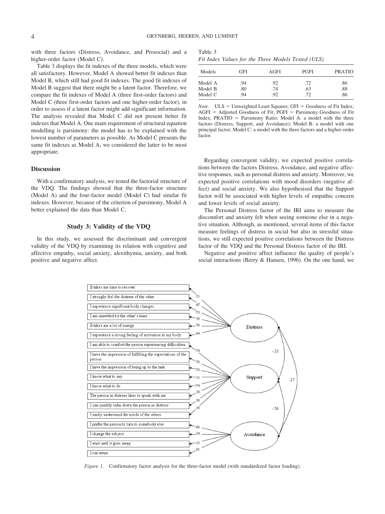with three factors (Distress, Avoidance, and Prosocial) and a higher-order factor (Model C).

Table 3 displays the fit indexes of the three models, which were all satisfactory. However, Model A showed better fit indexes than Model B, which still had good fit indexes. The good fit indexes of Model B suggest that there might be a latent factor. Therefore, we compare the fit indexes of Model A (three first-order factors) and Model C (three first-order factors and one higher-order factor), in order to assess if a latent factor might add significant information. The analysis revealed that Model C did not present better fit indexes that Model A. One main requirement of structural equation modelling is parsimony: the model has to be explained with the lowest number of parameters as possible. As Model C presents the same fit indexes as Model A, we considered the latter to be most appropriate.

#### **Discussion**

With a confirmatory analysis, we tested the factorial structure of the VDQ. The findings showed that the three-factor structure (Model A) and the four-factor model (Model C) had similar fit indexes. However, because of the criterion of parsimony, Model A better explained the data than Model C.

#### **Study 3: Validity of the VDQ**

In this study, we assessed the discriminant and convergent validity of the VDQ by examining its relation with cognitive and affective empathy, social anxiety, alexithymia, anxiety, and both positive and negative affect.

| Table 3 |                                                    |  |  |  |
|---------|----------------------------------------------------|--|--|--|
|         | Fit Index Values for the Three Models Tested (ULS) |  |  |  |

| Models  | GFI | AGFI | <b>PGFI</b> | <b>PRATIO</b> |
|---------|-----|------|-------------|---------------|
| Model A | .94 | .92  | .72         | .86           |
| Model B | .80 | .74  | .63         | .88           |
| Model C | .94 | .92  | .72         | .86           |

*Note*.  $ULS = Unweighted Least Squares; GFI = Goodness of Fit Index;$  $AGFI = Adjusted Goodness$  of Fit;  $PGFI = Parsimony Goodness$  of Fit Index, PRATIO = Parsimony Ratio; Model A: a model with the three factors (Distress, Support, and Avoidance); Model B: a model with one principal factor; Model C: a model with the three factors and a higher-order factor.

Regarding convergent validity, we expected positive correlations between the factors Distress, Avoidance, and negative affective responses, such as personal distress and anxiety. Moreover, we expected positive correlations with mood disorders (negative affect) and social anxiety. We also hypothesised that the Support factor will be associated with higher levels of empathic concern and lower levels of social anxiety.

The Personal Distress factor of the IRI aims to measure the discomfort and anxiety felt when seeing someone else in a negative situation. Although, as mentioned, several items of this factor measure feelings of distress in social but also in stressful situations, we still expected positive correlations between the Distress factor of the VDQ and the Personal Distress factor of the IRI.

Negative and positive affect influence the quality of people's social interactions (Berry & Hansen, 1996). On the one hand, we



*Figure 1.* Confirmatory factor analysis for the three-factor model (with standardized factor loading).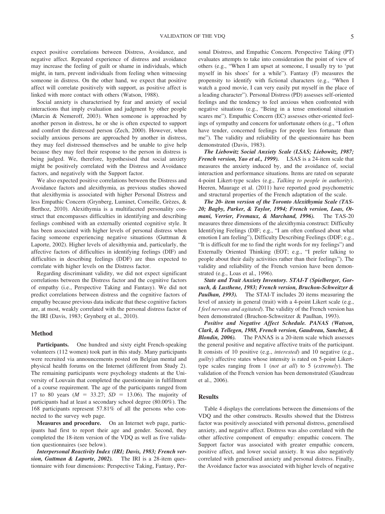expect positive correlations between Distress, Avoidance, and negative affect. Repeated experience of distress and avoidance may increase the feeling of guilt or shame in individuals, which might, in turn, prevent individuals from feeling when witnessing someone in distress. On the other hand, we expect that positive affect will correlate positively with support, as positive affect is linked with more contact with others (Watson, 1988).

Social anxiety is characterised by fear and anxiety of social interactions that imply evaluation and judgment by other people (Marcin & Nemeroff, 2003). When someone is approached by another person in distress, he or she is often expected to support and comfort the distressed person (Zech, 2000). However, when socially anxious persons are approached by another in distress, they may feel distressed themselves and be unable to give help because they may feel their response to the person in distress is being judged. We, therefore, hypothesised that social anxiety might be positively correlated with the Distress and Avoidance factors, and negatively with the Support factor.

We also expected positive correlations between the Distress and Avoidance factors and alexithymia, as previous studies showed that alexithymia is associated with higher Personal Distress and less Empathic Concern (Grynberg, Luminet, Corneille, Grèzes, & Berthoz, 2010). Alexithymia is a multifaceted personality construct that encompasses difficulties in identifying and describing feelings combined with an externally oriented cognitive style. It has been associated with higher levels of personal distress when facing someone experiencing negative situations (Guttman & Laporte, 2002). Higher levels of alexithymia and, particularly, the affective factors of difficulties in identifying feelings (DIF) and difficulties in describing feelings (DDF) are thus expected to correlate with higher levels on the Distress factor.

Regarding discriminant validity, we did not expect significant correlations between the Distress factor and the cognitive factors of empathy (i.e., Perspective Taking and Fantasy). We did not predict correlations between distress and the cognitive factors of empathy because previous data indicate that these cognitive factors are, at most, weakly correlated with the personal distress factor of the IRI (Davis, 1983; Grynberg et al., 2010).

#### **Method**

Participants. One hundred and sixty eight French-speaking volunteers (112 women) took part in this study. Many participants were recruited via announcements posted on Belgian mental and physical health forums on the Internet (different from Study 2). The remaining participants were psychology students at the University of Louvain that completed the questionnaire in fulfillment of a course requirement. The age of the participants ranged from 17 to 80 years  $(M = 33.27; SD = 13.06)$ . The majority of participants had at least a secondary school degree (80.00%). The 168 participants represent 57.81% of all the persons who connected to the survey web page.

**Measures and procedure.** On an Internet web page, participants had first to report their age and gender. Second, they completed the 18-item version of the VDQ as well as five validation questionnaires (see below).

*Interpersonal Reactivity Index (IRI; Davis, 1983; French version, Guttman & Laporte, 2002).* The IRI is a 28-item questionnaire with four dimensions: Perspective Taking, Fantasy, Personal Distress, and Empathic Concern. Perspective Taking (PT) evaluates attempts to take into consideration the point of view of others (e.g., "When I am upset at someone, I usually try to 'put myself in his shoes' for a while"). Fantasy (F) measures the propensity to identify with fictional characters (e.g., "When I watch a good movie, I can very easily put myself in the place of a leading character"). Personal Distress (PD) assesses self-oriented feelings and the tendency to feel anxious when confronted with negative situations (e.g., "Being in a tense emotional situation scares me"). Empathic Concern (EC) assesses other-oriented feelings of sympathy and concern for unfortunate others (e.g., "I often have tender, concerned feelings for people less fortunate than me"). The validity and reliability of the questionnaire has been demonstrated (Davis, 1983).

*The Liebowitz Social Anxiety Scale (LSAS; Liebowitz, 1987; French version, Yao et al., 1999).* LSAS is a 24-item scale that measures the anxiety induced by, and the avoidance of, social interaction and performance situations. Items are rated on separate 4-point Likert-type scales (e.g., *Talking to people in authority*). Heeren, Maurage et al. (2011) have reported good psychometric and structural properties of the French adaptation of the scale.

*The 20- item version of the Toronto Alexithymia Scale (TAS-20; Bagby, Parker, & Taylor, 1994; French version, Loas, Otmani, Verrier, Fremaux, & Marchand, 1996).* The TAS-20 measures three dimensions of the alexithymia construct: Difficulty Identifying Feelings (DIF; e.g., "I am often confused about what emotion I am feeling"), Difficulty Describing Feelings (DDF; e.g., "It is difficult for me to find the right words for my feelings") and Externally Oriented Thinking (EOT; e.g., "I prefer talking to people about their daily activities rather than their feelings"). The validity and reliability of the French version have been demonstrated (e.g., Loas et al., 1996).

*State and Trait Anxiety Inventory. STAI-T (Spielberger, Gorsuch, & Lusthene, 1983; French version, Bruchon-Schweitzer & Paulhan, 1993).* The STAI-T includes 20 items measuring the level of anxiety in general (trait) with a 4-point Likert scale (e.g., *I feel nervous and agitated*). The validity of the French version has been demonstrated (Bruchon-Schweitzer & Paulhan, 1993).

*Positive and Negative Affect Schedule. PANAS (Watson, Clark, & Tellegen, 1988, French version, Gaudreau, Sanchez, & Blondin, 2006).* The PANAS is a 20-item scale which assesses the general positive and negative affective traits of the participant. It consists of 10 positive (e.g., *interested*) and 10 negative (e.g., *guilty*) affective states whose intensity is rated on 5-point Likerttype scales ranging from 1 (*not at all*) to 5 (*extremely*). The validation of the French version has been demonstrated (Gaudreau et al., 2006).

#### **Results**

Table 4 displays the correlations between the dimensions of the VDQ and the other constructs. Results showed that the Distress factor was positively associated with personal distress, generalised anxiety, and negative affect. Distress was also correlated with the other affective component of empathy: empathic concern. The Support factor was associated with greater empathic concern, positive affect, and lower social anxiety. It was also negatively correlated with generalised anxiety and personal distress. Finally, the Avoidance factor was associated with higher levels of negative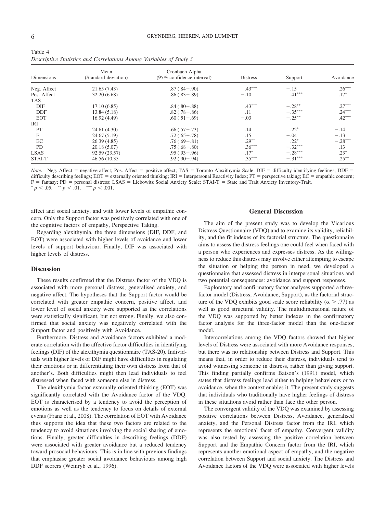| Table 4 |  |                                                                    |  |  |
|---------|--|--------------------------------------------------------------------|--|--|
|         |  | Descriptive Statistics and Correlations Among Variables of Study 3 |  |  |

| Dimensions  | Mean<br>(Standard deviation) | Cronbach Alpha<br>(95% confidence interval) | <b>Distress</b> | Support   | Avoidance |
|-------------|------------------------------|---------------------------------------------|-----------------|-----------|-----------|
| Neg. Affect | 21.65 (7.43)                 | $.87(.84-.90)$                              | $.43***$        | $-.15$    | $.26***$  |
| Pos. Affect | 32.20 (6.68)                 | $.86(.83-.89)$                              | $-.10$          | $.41***$  | $.17*$    |
| <b>TAS</b>  |                              |                                             |                 |           |           |
| DIF         | 17.10(6.85)                  | $.84(.80-.88)$                              | $.43***$        | $-.28***$ | $.27***$  |
| DDF         | 13.84 (5.18)                 | $.82(.78-.86)$                              | .11             | $-.35***$ | $.24***$  |
| <b>EOT</b>  | 16.92(4.49)                  | $.60(.51-.69)$                              | $-.03$          | $-.25***$ | $.42***$  |
| IRI         |                              |                                             |                 |           |           |
| PT          | 24.61 (4.30)                 | $.66(.57-.73)$                              | .14             | $.22*$    | $-.14$    |
| F           | 24.67 (5.19)                 | $.72(.65-.78)$                              | .15             | $-.04$    | $-.13$    |
| EC          | 26.39(4.85)                  | $.76(.69-.81)$                              | $.29***$        | $.22*$    | $-.28***$ |
| <b>PD</b>   | 20.18(5.07)                  | $.75(.68 - .80)$                            | $.36***$        | $-.32***$ | .13       |
| <b>LSAS</b> | 92.59 (23.57)                | $.95(.93-.96)$                              | $.17*$          | $-.28***$ | $.23*$    |
| STAI-T      | 46.56 (10.35)                | $.92(.90-.94)$                              | $.35***$        | $-.31***$ | $.25***$  |

*Note*. Neg. Affect = negative affect; Pos. Affect = positive affect; TAS = Toronto Alexithymia Scale; DIF = difficulty identifying feelings; DDF = difficulty describing feelings;  $EOT =$  externally oriented thinking;  $IRI =$  Interpersonal Reactivity Index;  $PT =$  perspective taking;  $EC =$  empathic concern; F = fantasy; PD = personal distress; LSAS = Liebowitz Social Anxiety Scale; STAI-T = State and Trait Anxiety Inventory-Trait.  $p < .05$ .  $\rightarrow p < .01$ .  $\rightarrow$   $p < .001$ .

affect and social anxiety, and with lower levels of empathic concern. Only the Support factor was positively correlated with one of the cognitive factors of empathy, Perspective Taking.

Regarding alexithymia, the three dimensions (DIF, DDF, and EOT) were associated with higher levels of avoidance and lower levels of support behaviour. Finally, DIF was associated with higher levels of distress.

#### **Discussion**

These results confirmed that the Distress factor of the VDQ is associated with more personal distress, generalised anxiety, and negative affect. The hypotheses that the Support factor would be correlated with greater empathic concern, positive affect, and lower level of social anxiety were supported as the correlations were statistically significant, but not strong. Finally, we also confirmed that social anxiety was negatively correlated with the Support factor and positively with Avoidance.

Furthermore, Distress and Avoidance factors exhibited a moderate correlation with the affective factor difficulties in identifying feelings (DIF) of the alexithymia questionnaire (TAS-20). Individuals with higher levels of DIF might have difficulties in regulating their emotions or in differentiating their own distress from that of another's. Both difficulties might then lead individuals to feel distressed when faced with someone else in distress.

The alexithymia factor externally oriented thinking (EOT) was significantly correlated with the Avoidance factor of the VDQ. EOT is characterised by a tendency to avoid the perception of emotions as well as the tendency to focus on details of external events (Franz et al., 2008). The correlation of EOT with Avoidance thus supports the idea that these two factors are related to the tendency to avoid situations involving the social sharing of emotions. Finally, greater difficulties in describing feelings (DDF) were associated with greater avoidance but a reduced tendency toward prosocial behaviours. This is in line with previous findings that emphasise greater social avoidance behaviours among high DDF scorers (Weinryb et al., 1996).

#### **General Discussion**

The aim of the present study was to develop the Vicarious Distress Questionnaire (VDQ) and to examine its validity, reliability, and the fit indexes of its factorial structure. The questionnaire aims to assess the distress feelings one could feel when faced with a person who experiences and expresses distress. As the willingness to reduce this distress may involve either attempting to escape the situation or helping the person in need, we developed a questionnaire that assessed distress in interpersonal situations and two potential consequences: avoidance and support responses.

Exploratory and confirmatory factor analyses supported a threefactor model (Distress, Avoidance, Support), as the factorial structure of the VDQ exhibits good scale score reliability ( $\alpha$  > .77) as well as good structural validity. The multidimensional nature of the VDQ was supported by better indexes in the confirmatory factor analysis for the three-factor model than the one-factor model.

Intercorrelations among the VDQ factors showed that higher levels of Distress were associated with more Avoidance responses, but there was no relationship between Distress and Support. This means that, in order to reduce their distress, individuals tend to avoid witnessing someone in distress, rather than giving support. This finding partially confirms Batson's (1991) model, which states that distress feelings lead either to helping behaviours or to avoidance, when the context enables it. The present study suggests that individuals who traditionally have higher feelings of distress in these situations avoid rather than face the other person.

The convergent validity of the VDQ was examined by assessing positive correlations between Distress, Avoidance, generalised anxiety, and the Personal Distress factor from the IRI, which represents the emotional facet of empathy. Convergent validity was also tested by assessing the positive correlation between Support and the Empathic Concern factor from the IRI, which represents another emotional aspect of empathy, and the negative correlation between Support and social anxiety. The Distress and Avoidance factors of the VDQ were associated with higher levels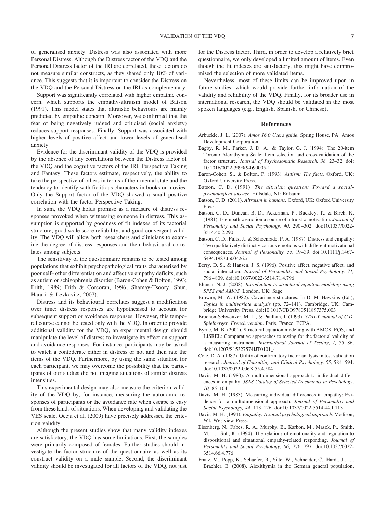of generalised anxiety. Distress was also associated with more Personal Distress. Although the Distress factor of the VDQ and the Personal Distress factor of the IRI are correlated, these factors do not measure similar constructs, as they shared only 10% of variance. This suggests that it is important to consider the Distress on the VDQ and the Personal Distress on the IRI as complementary.

Support was significantly correlated with higher empathic concern, which supports the empathy-altruism model of Batson (1991). This model states that altruistic behaviours are mainly predicted by empathic concern. Moreover, we confirmed that the fear of being negatively judged and criticised (social anxiety) reduces support responses. Finally, Support was associated with higher levels of positive affect and lower levels of generalised anxiety.

Evidence for the discriminant validity of the VDQ is provided by the absence of any correlations between the Distress factor of the VDQ and the cognitive factors of the IRI, Perspective Taking and Fantasy. These factors estimate, respectively, the ability to take the perspective of others in terms of their mental state and the tendency to identify with fictitious characters in books or movies. Only the Support factor of the VDQ showed a small positive correlation with the factor Perspective Taking.

In sum, the VDQ holds promise as a measure of distress responses provoked when witnessing someone in distress. This assumption is supported by goodness of fit indexes of its factorial structure, good scale score reliability, and good convergent validity. The VDQ will allow both researchers and clinicians to examine the degree of distress responses and their behavioural correlates among subjects.

The sensitivity of the questionnaire remains to be tested among populations that exhibit psychopathological traits characterised by poor self– other differentiation and affective empathy deficits, such as autism or schizophrenia disorder (Baron-Cohen & Bolton, 1993; Frith, 1989; Frith & Corcoran, 1996; Shamay-Tsoory, Shur, Harari, & Levkovitz, 2007).

Distress and its behavioural correlates suggest a modification over time: distress responses are hypothesised to account for subsequent support or avoidance responses. However, this temporal course cannot be tested only with the VDQ. In order to provide additional validity for the VDQ, an experimental design should manipulate the level of distress to investigate its effect on support and avoidance responses. For instance, participants may be asked to watch a confederate either in distress or not and then rate the items of the VDQ. Furthermore, by using the same situation for each participant, we may overcome the possibility that the participants of our studies did not imagine situations of similar distress intensities.

This experimental design may also measure the criterion validity of the VDQ by, for instance, measuring the autonomic responses of participants or the avoidance rate when escape is easy from these kinds of situations. When developing and validating the VES scale, Oceja et al. (2009) have precisely addressed the criterion validity.

Although the present studies show that many validity indexes are satisfactory, the VDQ has some limitations. First, the samples were primarily composed of females. Further studies should investigate the factor structure of the questionnaire as well as its construct validity on a male sample. Second, the discriminant validity should be investigated for all factors of the VDQ, not just

for the Distress factor. Third, in order to develop a relatively brief questionnaire, we only developed a limited amount of items. Even though the fit indexes are satisfactory, this might have compromised the selection of more validated items.

Nevertheless, most of these limits can be improved upon in future studies, which would provide further information of the validity and reliability of the VDQ. Finally, for its broader use in international research, the VDQ should be validated in the most spoken languages (e.g., English, Spanish, or Chinese).

#### **References**

- Arbuckle, J. L. (2007). *Amos 16.0 Users guide*. Spring House, PA: Amos Development Corporation.
- Bagby, R. M., Parker, J. D. A., & Taylor, G. J. (1994). The 20-item Toronto Alexithymia Scale: Item selection and cross-validation of the factor structure. *Journal of Psychosomatic Research, 38,* 23–32. doi: 10.1016/0022-3999(94)90005-1
- Baron-Cohen, S., & Bolton, P. (1993). *Autism: The facts.* Oxford, UK: Oxford University Press.
- Batson, C. D. (1991). *The altruism question: Toward a socialpsychological answer.* Hillsdale, NJ: Erlbaum.
- Batson, C. D. (2011). *Altruism in humans.* Oxford, UK: Oxford University Press.
- Batson, C. D., Duncan, B. D., Ackerman, P., Buckley, T., & Birch, K. (1981). Is empathic emotion a source of altruistic motivation. *Journal of Personality and Social Psychology, 40,* 290 –302. doi:10.1037/0022- 3514.40.2.290
- Batson, C. D., Fultz, J., & Schoenrade, P. A. (1987). Distress and empathy: Two qualitatively distinct vicarious emotions with different motivational consequences. *Journal of Personality, 55,* 19 –39. doi:10.1111/j.1467- 6494.1987.tb00426.x
- Berry, D. S., & Hansen, J. S. (1996). Positive affect, negative affect, and social interaction. *Journal of Personality and Social Psychology, 71,* 796 – 809. doi:10.1037/0022-3514.71.4.796
- Blunch, N. J. (2008). *Introduction to structural equation modeling using SPSS and AMOS.* London, UK: Sage.
- Browne, M. W. (1982). Covariance structures. In D. M. Hawkins (Ed.), *Topics in multivariate analysis* (pp. 72–141). Cambridge, UK: Cambridge University Press. doi:10.1017/CBO9780511897375.003
- Bruchon-Schweitzer, M. L., & Paulhan, I. (1993). *STAI-Y manual of C.D. Spielberger, French version*. Paris, France: ECPA.
- Byrne, M. B. (2001). Structural equation modeling with AMOS, EQS, and LISREL: Comparative approaches to testing for the factorial validity of a measuring instrument. *International Journal of Testing, 1,* 55– 86. doi:10.1207/S15327574IJT0101\_4
- Cole, D. A. (1987). Utility of confirmatory factor analysis in test validation research. *Journal of Consulting and Clinical Psychology, 55,* 584 –594. doi:10.1037/0022-006X.55.4.584
- Davis, M. H. (1980). A multidimensional approach to individual differences in empathy. *JSAS Catalog of Selected Documents in Psychology, 10,* 85–104.
- Davis, M. H. (1983). Measuring individual differences in empathy: Evidence for a multidimensional approach. *Journal of Personality and Social Psychology, 44,* 113–126. doi:10.1037/0022-3514.44.1.113
- Davis, M. H. (1994). *Empathy: A social psychological approach.* Madison, WI: Westview Press.
- Eisenberg, N., Fabes, R. A., Murphy, B., Karbon, M., Maszk, P., Smith, M., . . . Suh, K. (1994). The relations of emotionality and regulation to dispositional and situational empathy-related responding. *Journal of Personality and Social Psychology, 66,* 776 –797. doi:10.1037/0022- 3514.66.4.776
- Franz, M., Popp, K., Schaefer, R., Sitte, W., Schneider, C., Hardt, J., ... Braehler, E. (2008). Alexithymia in the German general population.